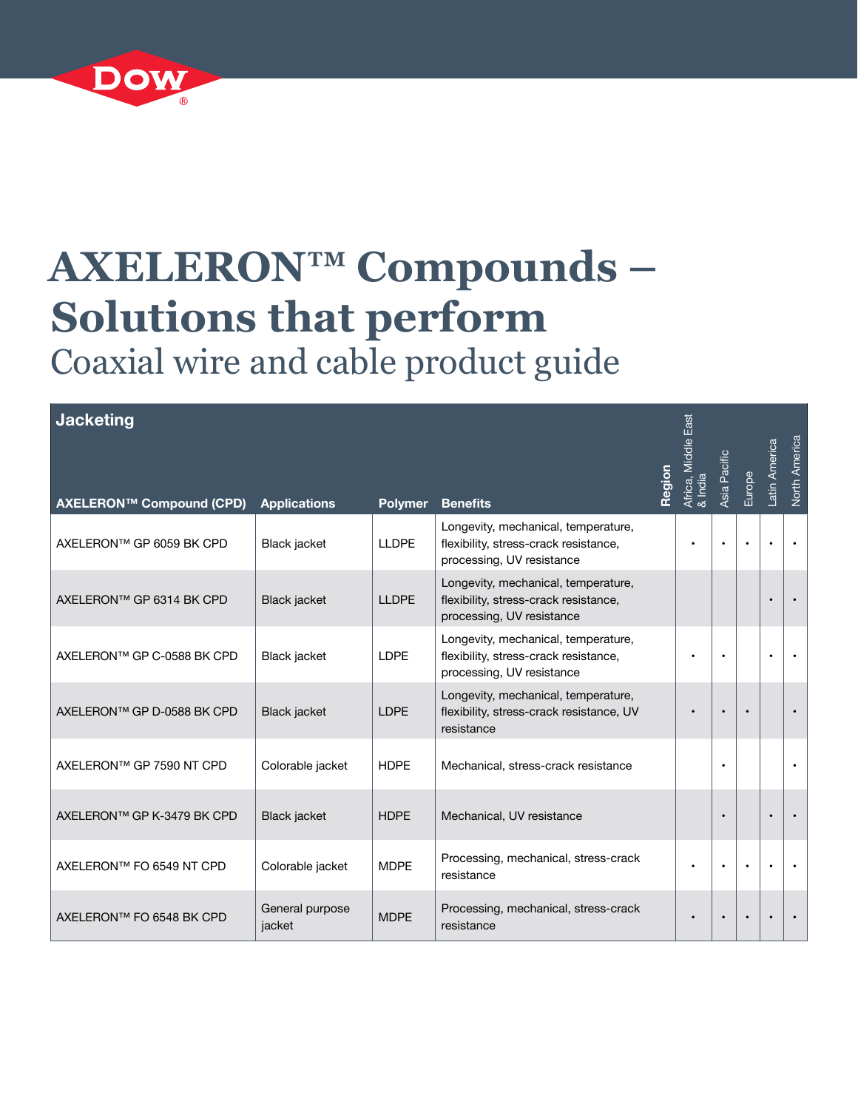

## **AXELERON™ Compounds – Solutions that perform** Coaxial wire and cable product guide

| <b>Jacketing</b>           |                           |                |                                                                                                           | Region | East<br>Africa, Middle I<br>& India | Asia Pacific | Europe | Latin America | North America |
|----------------------------|---------------------------|----------------|-----------------------------------------------------------------------------------------------------------|--------|-------------------------------------|--------------|--------|---------------|---------------|
| AXELERON™ Compound (CPD)   | <b>Applications</b>       | <b>Polymer</b> | <b>Benefits</b>                                                                                           |        |                                     |              |        |               |               |
| AXELERON™ GP 6059 BK CPD   | Black jacket              | <b>LLDPE</b>   | Longevity, mechanical, temperature,<br>flexibility, stress-crack resistance,<br>processing, UV resistance |        |                                     | $\bullet$    |        |               | $\bullet$     |
| AXELERON™ GP 6314 BK CPD   | <b>Black jacket</b>       | <b>LLDPE</b>   | Longevity, mechanical, temperature,<br>flexibility, stress-crack resistance,<br>processing, UV resistance |        |                                     |              |        |               |               |
| AXELERON™ GP C-0588 BK CPD | Black jacket              | <b>LDPE</b>    | Longevity, mechanical, temperature,<br>flexibility, stress-crack resistance,<br>processing, UV resistance |        |                                     |              |        |               |               |
| AXELERON™ GP D-0588 BK CPD | Black jacket              | <b>LDPE</b>    | Longevity, mechanical, temperature,<br>flexibility, stress-crack resistance, UV<br>resistance             |        |                                     |              |        |               |               |
| AXELERON™ GP 7590 NT CPD   | Colorable jacket          | <b>HDPE</b>    | Mechanical, stress-crack resistance                                                                       |        |                                     | $\bullet$    |        |               | $\bullet$     |
| AXELERON™ GP K-3479 BK CPD | Black jacket              | <b>HDPE</b>    | Mechanical, UV resistance                                                                                 |        |                                     | $\bullet$    |        |               |               |
| AXELERON™ FO 6549 NT CPD   | Colorable jacket          | <b>MDPE</b>    | Processing, mechanical, stress-crack<br>resistance                                                        |        |                                     | $\bullet$    |        |               | $\bullet$     |
| AXELERON™ FO 6548 BK CPD   | General purpose<br>jacket | <b>MDPE</b>    | Processing, mechanical, stress-crack<br>resistance                                                        |        |                                     | $\bullet$    |        |               | $\bullet$     |